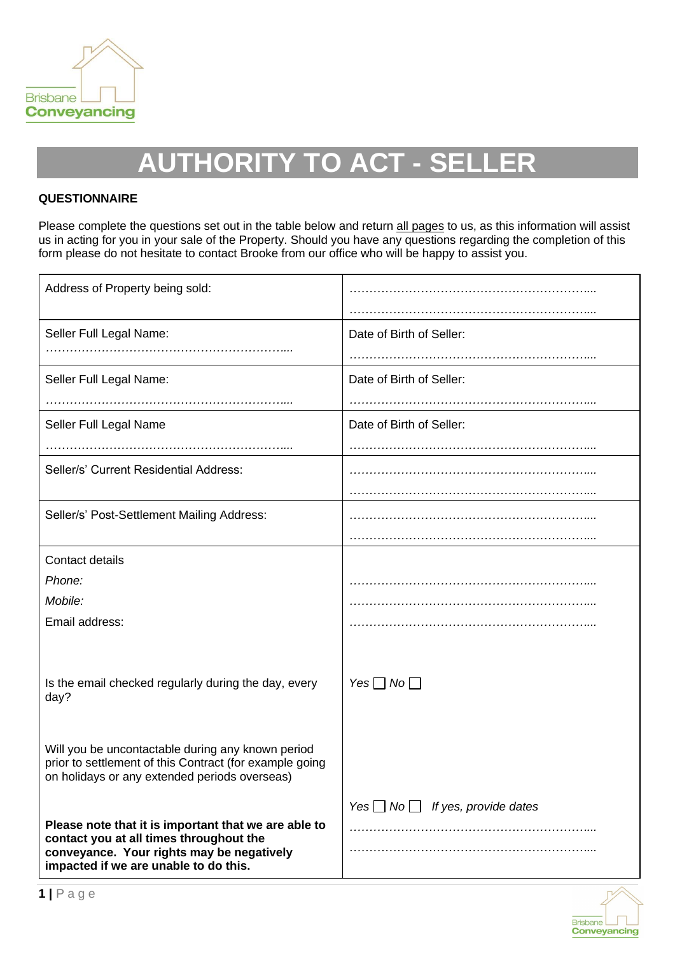

# **AUTHORITY TO ACT - SELLER**

### **QUESTIONNAIRE**

Please complete the questions set out in the table below and return all pages to us, as this information will assist us in acting for you in your sale of the Property. Should you have any questions regarding the completion of this form please do not hesitate to contact Brooke from our office who will be happy to assist you.

| Address of Property being sold:                                                                              |                          |
|--------------------------------------------------------------------------------------------------------------|--------------------------|
| Seller Full Legal Name:                                                                                      | Date of Birth of Seller: |
|                                                                                                              |                          |
| Seller Full Legal Name:                                                                                      | Date of Birth of Seller: |
|                                                                                                              |                          |
| Seller Full Legal Name                                                                                       | Date of Birth of Seller: |
|                                                                                                              |                          |
| Seller/s' Current Residential Address:                                                                       |                          |
|                                                                                                              |                          |
| Seller/s' Post-Settlement Mailing Address:                                                                   |                          |
|                                                                                                              |                          |
| Contact details                                                                                              |                          |
| Phone:                                                                                                       |                          |
| Mobile:                                                                                                      |                          |
| Email address:                                                                                               |                          |
|                                                                                                              |                          |
|                                                                                                              |                          |
| Is the email checked regularly during the day, every<br>day?                                                 | Yes $\Box$ No $\Box$     |
|                                                                                                              |                          |
|                                                                                                              |                          |
| Will you be uncontactable during any known period<br>prior to settlement of this Contract (for example going |                          |
| on holidays or any extended periods overseas)                                                                |                          |
|                                                                                                              |                          |
| Please note that it is important that we are able to                                                         |                          |
| contact you at all times throughout the                                                                      |                          |
| conveyance. Your rights may be negatively<br>impacted if we are unable to do this.                           |                          |

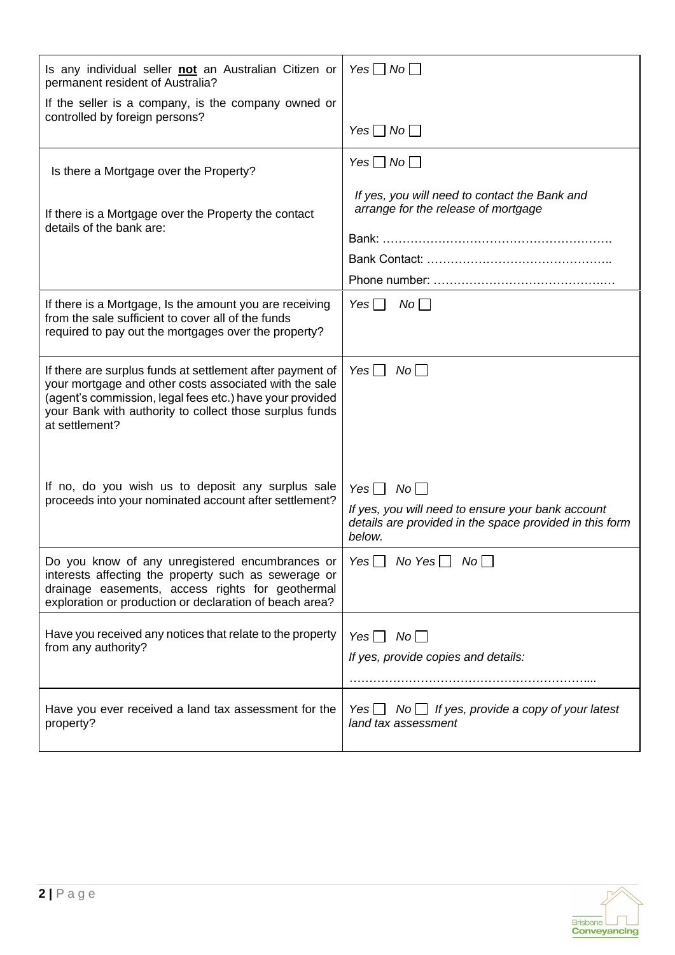| Is any individual seller not an Australian Citizen or<br>permanent resident of Australia?                                                                                                                                                                    | Yes $\Box$ No $\Box$                                                                                                                           |
|--------------------------------------------------------------------------------------------------------------------------------------------------------------------------------------------------------------------------------------------------------------|------------------------------------------------------------------------------------------------------------------------------------------------|
| If the seller is a company, is the company owned or                                                                                                                                                                                                          |                                                                                                                                                |
| controlled by foreign persons?                                                                                                                                                                                                                               | Yes $\Box$ No $\Box$                                                                                                                           |
| Is there a Mortgage over the Property?                                                                                                                                                                                                                       | Yes $\Box$ No $\Box$                                                                                                                           |
| If there is a Mortgage over the Property the contact<br>details of the bank are:                                                                                                                                                                             | If yes, you will need to contact the Bank and<br>arrange for the release of mortgage                                                           |
|                                                                                                                                                                                                                                                              |                                                                                                                                                |
|                                                                                                                                                                                                                                                              |                                                                                                                                                |
| If there is a Mortgage, Is the amount you are receiving<br>from the sale sufficient to cover all of the funds<br>required to pay out the mortgages over the property?                                                                                        | Yes $\Box$<br>$No$ $\Box$                                                                                                                      |
| If there are surplus funds at settlement after payment of<br>your mortgage and other costs associated with the sale<br>(agent's commission, legal fees etc.) have your provided<br>your Bank with authority to collect those surplus funds<br>at settlement? | Yes $\Box$ No $\Box$                                                                                                                           |
| If no, do you wish us to deposit any surplus sale<br>proceeds into your nominated account after settlement?                                                                                                                                                  | Yes $\Box$ No $\Box$<br>If yes, you will need to ensure your bank account<br>details are provided in the space provided in this form<br>below. |
| Do you know of any unregistered encumbrances or   Yes $\Box$ No Yes $\Box$ No $\Box$<br>interests affecting the property such as sewerage or<br>drainage easements, access rights for geothermal<br>exploration or production or declaration of beach area?  |                                                                                                                                                |
| Have you received any notices that relate to the property<br>from any authority?                                                                                                                                                                             | Yes $\Box$ No $\Box$<br>If yes, provide copies and details:                                                                                    |
| Have you ever received a land tax assessment for the<br>property?                                                                                                                                                                                            | land tax assessment                                                                                                                            |

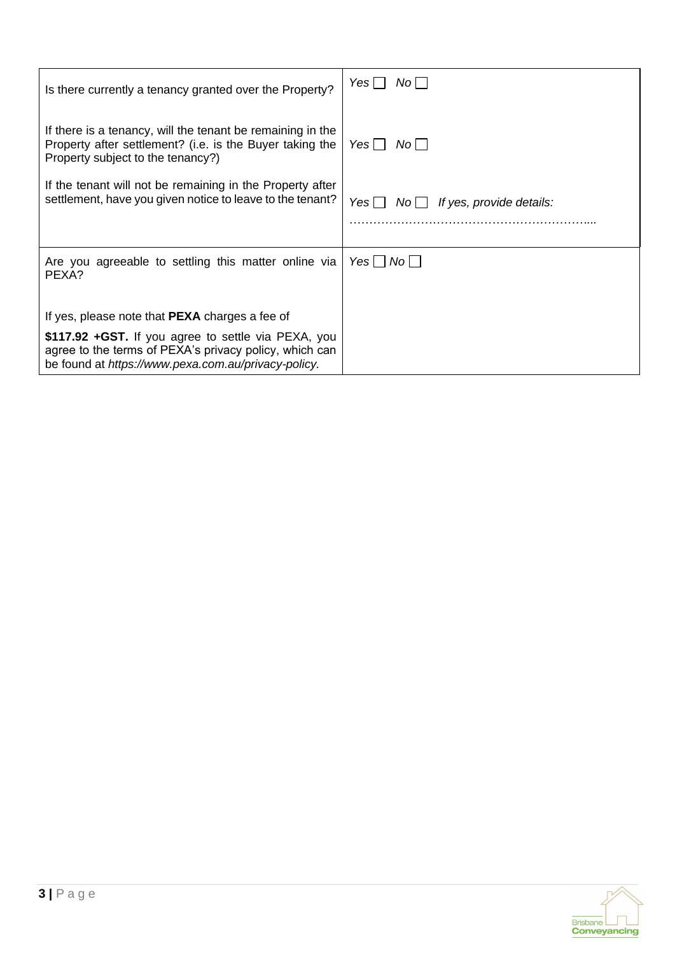| Is there currently a tenancy granted over the Property?                                                                                                               | No I<br>Yes                                           |
|-----------------------------------------------------------------------------------------------------------------------------------------------------------------------|-------------------------------------------------------|
| If there is a tenancy, will the tenant be remaining in the<br>Property after settlement? (i.e. is the Buyer taking the<br>Property subject to the tenancy?)           | Yes II<br>Noll                                        |
| If the tenant will not be remaining in the Property after<br>settlement, have you given notice to leave to the tenant?                                                | Yes    <br>If yes, provide details:<br>$No \bigsqcup$ |
| Are you agreeable to settling this matter online via<br>PEXA?                                                                                                         | Yes     No                                            |
| If yes, please note that <b>PEXA</b> charges a fee of                                                                                                                 |                                                       |
| \$117.92 + GST. If you agree to settle via PEXA, you<br>agree to the terms of PEXA's privacy policy, which can<br>be found at https://www.pexa.com.au/privacy-policy. |                                                       |

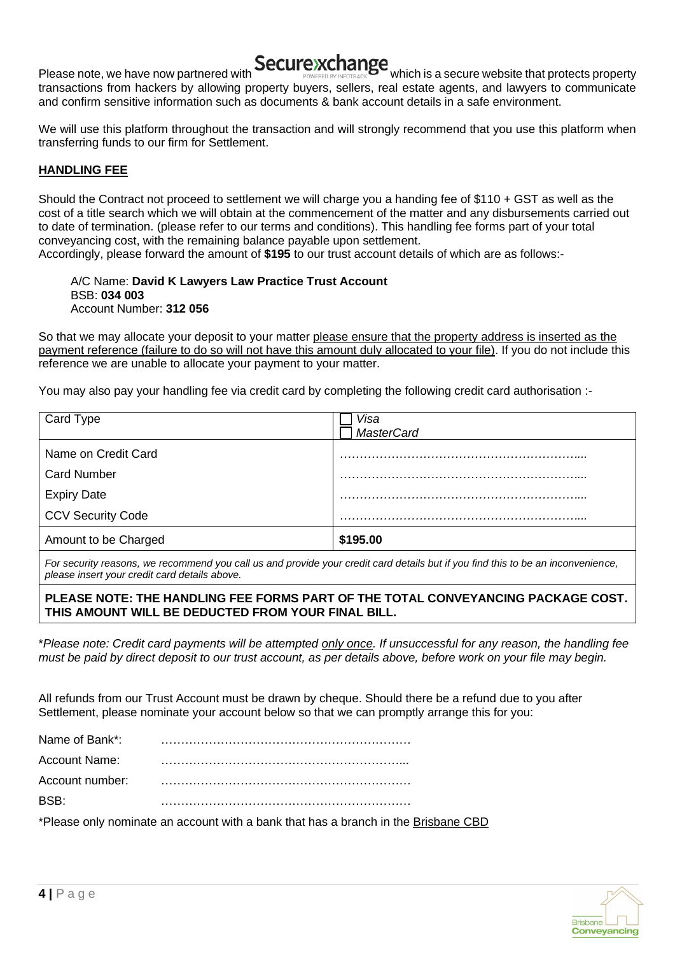

Please note, we have now partnered with **Secure xchange** which is a secure website that protects property transactions from hackers by allowing property buyers, sellers, real estate agents, and lawyers to communicate and confirm sensitive information such as documents & bank account details in a safe environment.

We will use this platform throughout the transaction and will strongly recommend that you use this platform when transferring funds to our firm for Settlement.

## **HANDLING FEE**

Should the Contract not proceed to settlement we will charge you a handing fee of \$110 + GST as well as the cost of a title search which we will obtain at the commencement of the matter and any disbursements carried out to date of termination. (please refer to our terms and conditions). This handling fee forms part of your total conveyancing cost, with the remaining balance payable upon settlement.

Accordingly, please forward the amount of **\$195** to our trust account details of which are as follows:-

A/C Name: **David K Lawyers Law Practice Trust Account** BSB: **034 003** Account Number: **312 056**

So that we may allocate your deposit to your matter please ensure that the property address is inserted as the payment reference (failure to do so will not have this amount duly allocated to your file). If you do not include this reference we are unable to allocate your payment to your matter.

You may also pay your handling fee via credit card by completing the following credit card authorisation :-

| Card Type                | Visa              |
|--------------------------|-------------------|
|                          | <b>MasterCard</b> |
| Name on Credit Card      |                   |
| <b>Card Number</b>       |                   |
| <b>Expiry Date</b>       |                   |
| <b>CCV Security Code</b> |                   |
| Amount to be Charged     | \$195.00          |
|                          |                   |

*For security reasons, we recommend you call us and provide your credit card details but if you find this to be an inconvenience, please insert your credit card details above.* 

**PLEASE NOTE: THE HANDLING FEE FORMS PART OF THE TOTAL CONVEYANCING PACKAGE COST. THIS AMOUNT WILL BE DEDUCTED FROM YOUR FINAL BILL.** 

\**Please note: Credit card payments will be attempted only once. If unsuccessful for any reason, the handling fee must be paid by direct deposit to our trust account, as per details above, before work on your file may begin.*

All refunds from our Trust Account must be drawn by cheque. Should there be a refund due to you after Settlement, please nominate your account below so that we can promptly arrange this for you:

| Name of Bank*:  |  |
|-----------------|--|
| Account Name:   |  |
| Account number: |  |
| <b>BSB</b>      |  |

\*Please only nominate an account with a bank that has a branch in the Brisbane CBD